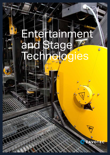# Entertainment an Stage e<br>CS



 $\textcircled{\scriptsize{1}}$ 

 $\mathbf{O}$ EC t the future:

Ò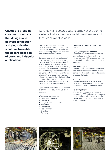**Cavotec is a leading cleantech company that designs and delivers connection and electrification solutions to enable the decarbonization of ports and industrial applications.**

Cavotec manufactures advanced power and control systems that are used in entertainment venues and theatres all over the world.

Cavotec's advanced engineering capabilities ensure we can design and manufacture our systems to meet the most demanding project requirements and customer specifications.

Cavotec has extensive experience of providing customised solutions for the safe and efficient transmission of energy, signals and data, as well as liquid and gaseous media. By integrating our technical know-how and in-depth market knowledge we ensure a reliable, safe, and cost-effective solution for our clients. We offer close support to our clients in the design, installation, testing and commissioning stages, as well as providing a full service programme throughout our systems' life-cycle.

Light, sounds and visual effects become even more spectacular with Cavotec's systems.

#### We provide solutions for:

- Theatres and operas
- TV studios
- Congress and concert halls
- Auditoriums
- Sports halls
- Media centres
- Churches
- Fun parks

### Our power and control systems are used for:

#### Lighting bridges and canopies

Our spring and motorised reel systems, plug and socket systems and radio remote controls (RRC) are used to power and control spotlights, microphones and loudspeakers.

#### Hoisting equipment

Our RRC and video solutions ensure the safe transmission of power and data to control winches, gallery retrieval systems and special effects.

#### Stage lifts

Our RRC systems enable the reliable transmission of control and bus signals and electrical power to junction boxes.

#### Revolving stages

With our slip ring systems, plugs and sockets and RRC systems, we are ensure the transmission of air, water, hydraulic oil, and audio, video, and bus signals for revolving stages.





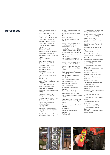**References** Cultural Center Gummifabriken Sweden

Spring cable reels (2017)

Stavros Niarchos Foundation Cultural Centre Athens, Greece Spring cable reels (2016)

Halle Münsterland, Germany Spring cable reels (2016)

Cuvilliés-Theater München, Germany Slipring unit (2016)

Kulturpalast Dresden, Germany Spring cable reels (2016)

Halle E+G MuseumsQuartier Wien, Austria Slipring unit (2016)

Volkstheater Wien, Austria Spring cable reels (2015)

Lappia talo Theatre, Finland Slip ring unit (2015)

Turkmenexpo Ashgabat, Turkmenistan Spring cable reels (2014)

Staatstheater Braunschweig, Germany

Slip ring (2014)

Victoria Theatre and Concert Hall, Singapore

Spring cable reels (2014)

Astana Opera and Theatre, Republic of Kazakhstan Spring and motorised cable reels (2013)

Zorlu Center Istanbul, Turkey Spring cable reels (2013)

Svenska Teatern Helsinki, Finland Spring cable reels (2012)

Hessisches Staatstheater Wiesbaden, Germany Slip ring (2012)

Bayreuther Festspiele, Germany Slip ring unit for revolving stage (2012)

Frankfurt Mousonturm, Germany Spring cable reels (2012)

Novello Theatre London, United Kingdom Slip ring unit for revolving stage (2011)

Opera Graz, Austria Slip ring unit for revolving stage (2011)

Bolshoi Theatre Moscow, Russia Motorised cable reels for microphones (2011)

Svenska Teatern Helsinki, Finland Slip ring unit for revolving stage and Radio remote controls (2011)

Qatar Education City Convention Centre, Qatar Spring cable reels for lightning bars incl. fibre optic system (2010)

Bolshoi Theatre Moscow, Russia Motorised cable reels (2010)

Stadttheater Giessen, Germany Slip ring unit for revolving stage (2010)

The Onassis House of Letters and Arts, Greece Spring cable reels for lightning

bars (2010)

Teatre Lliure Barcelona, Spain Spring cable reels (2010)

Harpa Concert Hall, Iceland Spring cable reels (2010)

Musikhochschule Frankfurt, Germany

Spring cable reels (2010)

House of Music and Art, Oman Spring cable reels for audio system (2009)

Staatstheater Nürnberg, Germany Slip ring unit for revolving stage  $(2009)$ 

Theater am Potsdamer Platz Berlin, Germany Slipring (2009)

Colosseum Theater Essen, Germany Slipring (2009)

Theater Stadtallendorf, Germany Spring cable reels (2009)

Dramaten Gothenburg, Sweden Spring cable reels (2008)

Malmö Arena, Sweden Spring cable reels for display cube  $(2008)$ 

Seoul Arts Center, Republic of Korea

Motorised cable reels (2008)

Gymnasium Sulzbach, Germany Spring cable reels (2008)

Esplanade - Theatres, Singapore Spring cable reels for lightning bars (2007)

Konzerthaus Dortmund, Germany Special spring reels for audio system (2006)

The Royal Danish Playhouse, Denmark Motorised cable reels and cable

chain (2006)

Four Danish Theatres Radio remote controls (2006)

Copenhagen Opera House, Denmark

Motorised reels (2004)

Theatre Nijmegen, Netherlands Spring reels (2003)

Deutsche Oper am Rhein, Germany Motorised and spring reels, cable chain (2002)

The Royal Danish Theatre, Denmark Spring reels and motorised reels (2002)

The Royal Danish Theatre, Denmark

Spring cable reels (2001) The Royal Danish Theatre,

Denmark Slipring unit incl. hydr. swivel and cable chain (2000)